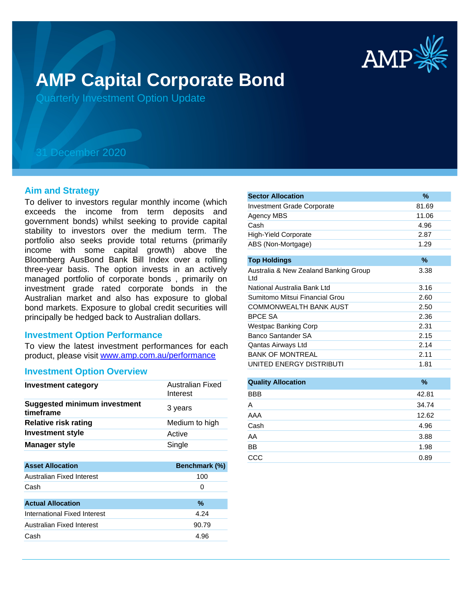

# **AMP Capital Corporate Bond**

Quarterly Investment Option Update

## 31 December 2020

#### **Aim and Strategy**

To deliver to investors regular monthly income (which exceeds the income from term deposits and government bonds) whilst seeking to provide capital stability to investors over the medium term. The portfolio also seeks provide total returns (primarily income with some capital growth) above the Bloomberg AusBond Bank Bill Index over a rolling three-year basis. The option invests in an actively managed portfolio of corporate bonds , primarily on investment grade rated corporate bonds in the Australian market and also has exposure to global bond markets. Exposure to global credit securities will principally be hedged back to Australian dollars.

## **Investment Option Performance**

product, please visit www.amp.com.au/performance To view the latest investment performances for each

## **Investment Option Overview**

| Investment category                              | Australian Fixed<br>Interest |
|--------------------------------------------------|------------------------------|
| <b>Suggested minimum investment</b><br>timeframe | 3 years                      |
| <b>Relative risk rating</b>                      | Medium to high               |
| <b>Investment style</b>                          | Active                       |
| <b>Manager style</b>                             | Single                       |
|                                                  |                              |
|                                                  |                              |
| <b>Asset Allocation</b>                          | <b>Benchmark (%)</b>         |
| Australian Fixed Interest                        | 100                          |
| Cash                                             | Ω                            |
|                                                  |                              |
| <b>Actual Allocation</b>                         | $\%$                         |
| International Fixed Interest                     | 4.24                         |
| Australian Fixed Interest                        | 90.79                        |
| Cash                                             | 4.96                         |

| <b>Sector Allocation</b>                     | $\%$  |
|----------------------------------------------|-------|
| <b>Investment Grade Corporate</b>            | 81.69 |
| Agency MBS                                   | 11.06 |
| Cash                                         | 4.96  |
| <b>High-Yield Corporate</b>                  | 2.87  |
| ABS (Non-Mortgage)                           | 1.29  |
|                                              |       |
| <b>Top Holdings</b>                          | $\%$  |
| Australia & New Zealand Banking Group<br>Ltd | 3.38  |
| National Australia Bank Ltd                  | 3.16  |
| Sumitomo Mitsui Financial Grou               | 2.60  |
| <b>COMMONWEALTH BANK AUST</b>                | 2.50  |
| <b>BPCE SA</b>                               | 2.36  |
| Westpac Banking Corp                         | 2.31  |
| Banco Santander SA                           | 2.15  |
| Qantas Airways Ltd                           | 2.14  |
| <b>BANK OF MONTREAL</b>                      | 2.11  |
| UNITED ENERGY DISTRIBUTI                     | 1.81  |
|                                              |       |

| <b>Quality Allocation</b> | $\%$  |
|---------------------------|-------|
| <b>BBB</b>                | 42.81 |
| A                         | 34.74 |
| AAA                       | 12.62 |
| Cash                      | 4.96  |
| AA                        | 3.88  |
| <b>BB</b>                 | 1.98  |
| CCC                       | 0.89  |
|                           |       |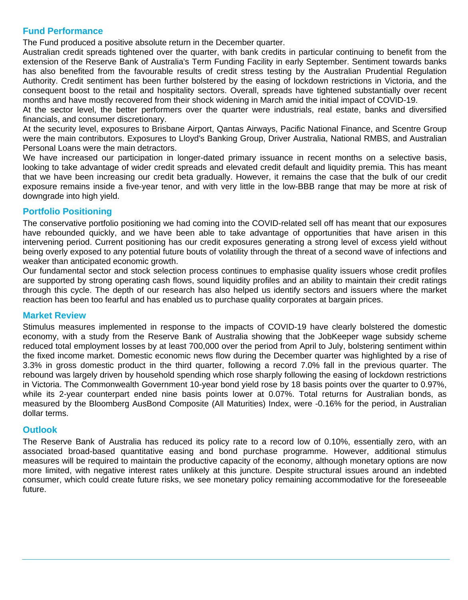## **Fund Performance**

The Fund produced a positive absolute return in the December quarter.

Australian credit spreads tightened over the quarter, with bank credits in particular continuing to benefit from the extension of the Reserve Bank of Australia's Term Funding Facility in early September. Sentiment towards banks has also benefited from the favourable results of credit stress testing by the Australian Prudential Regulation Authority. Credit sentiment has been further bolstered by the easing of lockdown restrictions in Victoria, and the consequent boost to the retail and hospitality sectors. Overall, spreads have tightened substantially over recent months and have mostly recovered from their shock widening in March amid the initial impact of COVID-19.

At the sector level, the better performers over the quarter were industrials, real estate, banks and diversified financials, and consumer discretionary.

At the security level, exposures to Brisbane Airport, Qantas Airways, Pacific National Finance, and Scentre Group were the main contributors. Exposures to Lloyd's Banking Group, Driver Australia, National RMBS, and Australian Personal Loans were the main detractors.

We have increased our participation in longer-dated primary issuance in recent months on a selective basis, looking to take advantage of wider credit spreads and elevated credit default and liquidity premia. This has meant that we have been increasing our credit beta gradually. However, it remains the case that the bulk of our credit exposure remains inside a five-year tenor, and with very little in the low-BBB range that may be more at risk of downgrade into high yield.

## **Portfolio Positioning**

The conservative portfolio positioning we had coming into the COVID-related sell off has meant that our exposures have rebounded quickly, and we have been able to take advantage of opportunities that have arisen in this intervening period. Current positioning has our credit exposures generating a strong level of excess yield without being overly exposed to any potential future bouts of volatility through the threat of a second wave of infections and weaker than anticipated economic growth.

Our fundamental sector and stock selection process continues to emphasise quality issuers whose credit profiles are supported by strong operating cash flows, sound liquidity profiles and an ability to maintain their credit ratings through this cycle. The depth of our research has also helped us identify sectors and issuers where the market reaction has been too fearful and has enabled us to purchase quality corporates at bargain prices.

## **Market Review**

Stimulus measures implemented in response to the impacts of COVID-19 have clearly bolstered the domestic economy, with a study from the Reserve Bank of Australia showing that the JobKeeper wage subsidy scheme reduced total employment losses by at least 700,000 over the period from April to July, bolstering sentiment within the fixed income market. Domestic economic news flow during the December quarter was highlighted by a rise of 3.3% in gross domestic product in the third quarter, following a record 7.0% fall in the previous quarter. The rebound was largely driven by household spending which rose sharply following the easing of lockdown restrictions in Victoria. The Commonwealth Government 10-year bond yield rose by 18 basis points over the quarter to 0.97%, while its 2-year counterpart ended nine basis points lower at 0.07%. Total returns for Australian bonds, as measured by the Bloomberg AusBond Composite (All Maturities) Index, were -0.16% for the period, in Australian dollar terms.

## **Outlook**

The Reserve Bank of Australia has reduced its policy rate to a record low of 0.10%, essentially zero, with an associated broad-based quantitative easing and bond purchase programme. However, additional stimulus measures will be required to maintain the productive capacity of the economy, although monetary options are now more limited, with negative interest rates unlikely at this juncture. Despite structural issues around an indebted consumer, which could create future risks, we see monetary policy remaining accommodative for the foreseeable future.